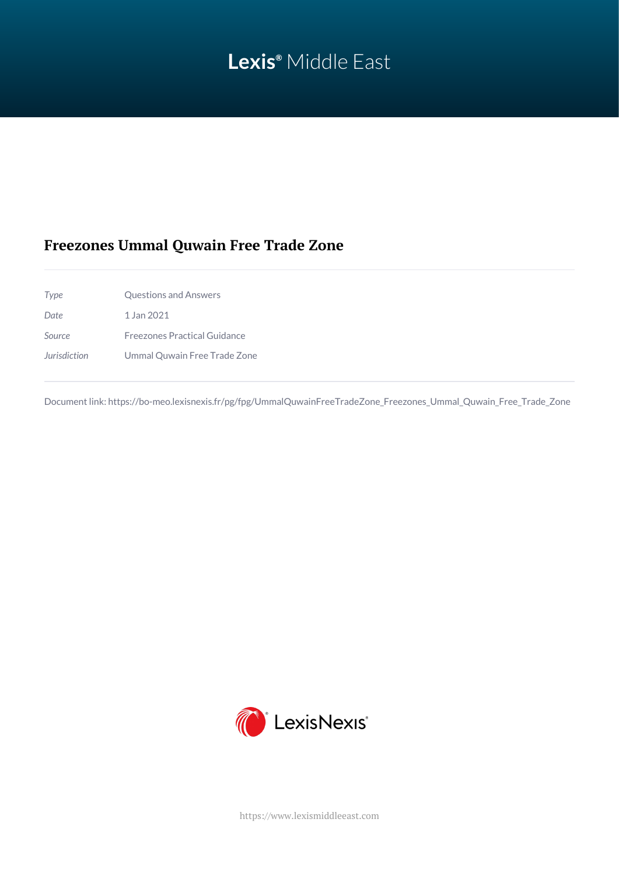# **Lexis®** Middle East

## **Freezones Ummal Quwain Free Trade Zone**

*Type* Questions and Answers *Date* 1 Jan 2021 *Source* Freezones Practical Guidance *Jurisdiction* Ummal Quwain Free Trade Zone

Document link: [https://bo-meo.lexisnexis.fr/pg/fpg/UmmalQuwainFreeTradeZone\\_Freezones\\_Ummal\\_Quwain\\_Free\\_Trade\\_Zone](https://bo-meo.lexisnexis.fr/pg/fpg/UmmalQuwainFreeTradeZone_Freezones_Ummal_Quwain_Free_Trade_Zone)



<https://www.lexismiddleeast.com>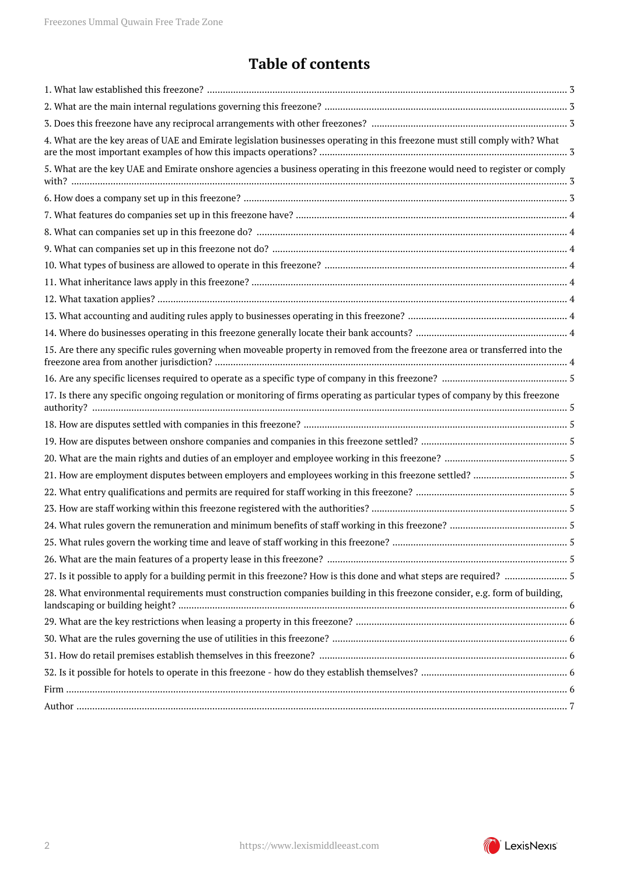## **Table of contents**

| 4. What are the key areas of UAE and Emirate legislation businesses operating in this freezone must still comply with? What   |  |
|-------------------------------------------------------------------------------------------------------------------------------|--|
| 5. What are the key UAE and Emirate onshore agencies a business operating in this freezone would need to register or comply   |  |
|                                                                                                                               |  |
|                                                                                                                               |  |
|                                                                                                                               |  |
|                                                                                                                               |  |
|                                                                                                                               |  |
|                                                                                                                               |  |
|                                                                                                                               |  |
|                                                                                                                               |  |
|                                                                                                                               |  |
| 15. Are there any specific rules governing when moveable property in removed from the freezone area or transferred into the   |  |
|                                                                                                                               |  |
| 17. Is there any specific ongoing regulation or monitoring of firms operating as particular types of company by this freezone |  |
|                                                                                                                               |  |
|                                                                                                                               |  |
|                                                                                                                               |  |
|                                                                                                                               |  |
|                                                                                                                               |  |
|                                                                                                                               |  |
|                                                                                                                               |  |
|                                                                                                                               |  |
|                                                                                                                               |  |
| 27. Is it possible to apply for a building permit in this freezone? How is this done and what steps are required?  5          |  |
| 28. What environmental requirements must construction companies building in this freezone consider, e.g. form of building,    |  |
|                                                                                                                               |  |
|                                                                                                                               |  |
|                                                                                                                               |  |
|                                                                                                                               |  |
|                                                                                                                               |  |
|                                                                                                                               |  |

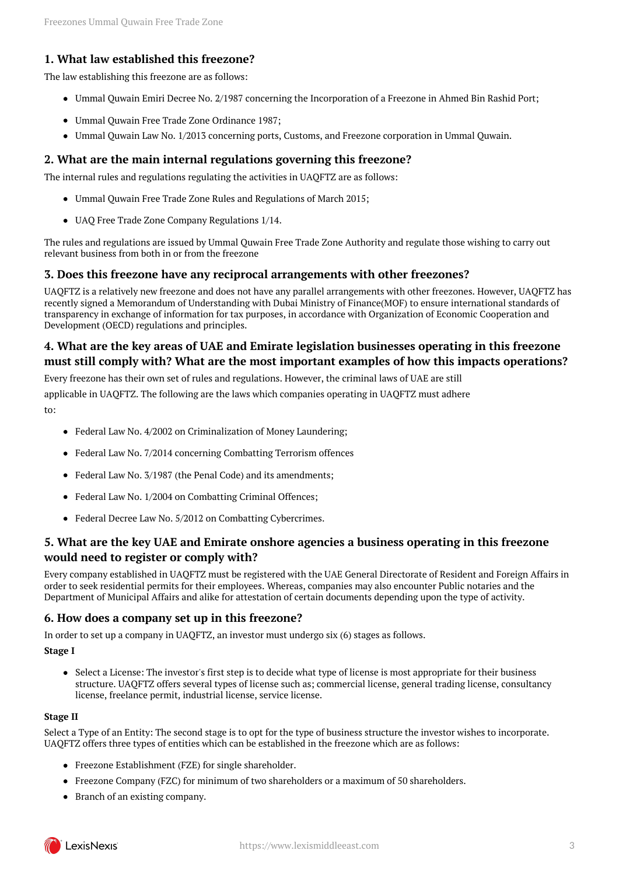#### <span id="page-2-0"></span>**1. What law established this freezone?**

The law establishing this freezone are as follows:

- Ummal Quwain Emiri Decree No. 2/1987 concerning the Incorporation of a Freezone in Ahmed Bin Rashid Port;
- Ummal Quwain Free Trade Zone Ordinance 1987;
- Ummal Quwain Law No. 1/2013 concerning ports, Customs, and Freezone corporation in Ummal Quwain.

#### <span id="page-2-1"></span>**2. What are the main internal regulations governing this freezone?**

The internal rules and regulations regulating the activities in UAQFTZ are as follows:

- Ummal Quwain Free Trade Zone Rules and Regulations of March 2015;
- UAQ Free Trade Zone Company Regulations 1/14.

The rules and regulations are issued by Ummal Quwain Free Trade Zone Authority and regulate those wishing to carry out relevant business from both in or from the freezone

#### <span id="page-2-2"></span>**3. Does this freezone have any reciprocal arrangements with other freezones?**

UAQFTZ is a relatively new freezone and does not have any parallel arrangements with other freezones. However, UAQFTZ has recently signed a Memorandum of Understanding with Dubai Ministry of Finance(MOF) to ensure international standards of transparency in exchange of information for tax purposes, in accordance with Organization of Economic Cooperation and Development (OECD) regulations and principles.

#### <span id="page-2-3"></span>**4. What are the key areas of UAE and Emirate legislation businesses operating in this freezone must still comply with? What are the most important examples of how this impacts operations?**

Every freezone has their own set of rules and regulations. However, the criminal laws of UAE are still

applicable in UAQFTZ. The following are the laws which companies operating in UAQFTZ must adhere

to:

- Federal Law No. 4/2002 on Criminalization of Money Laundering:
- Federal Law No. 7/2014 concerning Combatting Terrorism offences
- Federal Law No. 3/1987 (the Penal Code) and its amendments;
- Federal Law No. 1/2004 on Combatting Criminal Offences;
- Federal Decree Law No. 5/2012 on Combatting Cybercrimes.

#### <span id="page-2-4"></span>**5. What are the key UAE and Emirate onshore agencies a business operating in this freezone would need to register or comply with?**

Every company established in UAQFTZ must be registered with the UAE General Directorate of Resident and Foreign Affairs in order to seek residential permits for their employees. Whereas, companies may also encounter Public notaries and the Department of Municipal Affairs and alike for attestation of certain documents depending upon the type of activity.

#### <span id="page-2-5"></span>**6. How does a company set up in this freezone?**

In order to set up a company in UAQFTZ, an investor must undergo six (6) stages as follows.

**Stage I**

• Select a License: The investor's first step is to decide what type of license is most appropriate for their business structure. UAQFTZ offers several types of license such as; commercial license, general trading license, consultancy license, freelance permit, industrial license, service license.

#### **Stage II**

Select a Type of an Entity: The second stage is to opt for the type of business structure the investor wishes to incorporate. UAQFTZ offers three types of entities which can be established in the freezone which are as follows:

- Freezone Establishment (FZE) for single shareholder.
- Freezone Company (FZC) for minimum of two shareholders or a maximum of 50 shareholders.
- Branch of an existing company.

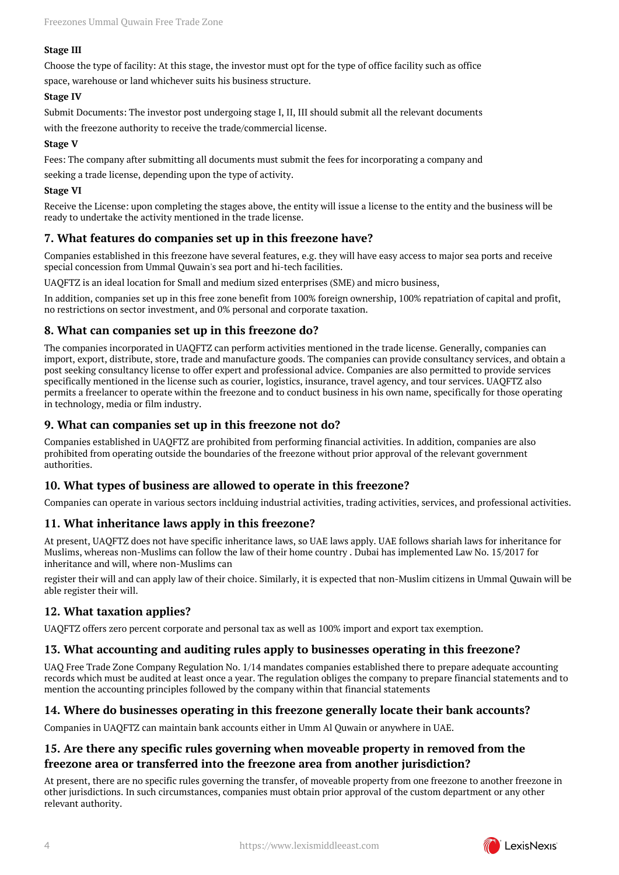#### **Stage III**

Choose the type of facility: At this stage, the investor must opt for the type of office facility such as office

space, warehouse or land whichever suits his business structure.

#### **Stage IV**

Submit Documents: The investor post undergoing stage I, II, III should submit all the relevant documents

with the freezone authority to receive the trade/commercial license.

#### **Stage V**

Fees: The company after submitting all documents must submit the fees for incorporating a company and

seeking a trade license, depending upon the type of activity.

#### **Stage VI**

Receive the License: upon completing the stages above, the entity will issue a license to the entity and the business will be ready to undertake the activity mentioned in the trade license.

#### <span id="page-3-0"></span>**7. What features do companies set up in this freezone have?**

Companies established in this freezone have several features, e.g. they will have easy access to major sea ports and receive special concession from Ummal Quwain's sea port and hi-tech facilities.

UAQFTZ is an ideal location for Small and medium sized enterprises (SME) and micro business,

In addition, companies set up in this free zone benefit from 100% foreign ownership, 100% repatriation of capital and profit, no restrictions on sector investment, and 0% personal and corporate taxation.

#### <span id="page-3-1"></span>**8. What can companies set up in this freezone do?**

The companies incorporated in UAQFTZ can perform activities mentioned in the trade license. Generally, companies can import, export, distribute, store, trade and manufacture goods. The companies can provide consultancy services, and obtain a post seeking consultancy license to offer expert and professional advice. Companies are also permitted to provide services specifically mentioned in the license such as courier, logistics, insurance, travel agency, and tour services. UAQFTZ also permits a freelancer to operate within the freezone and to conduct business in his own name, specifically for those operating in technology, media or film industry.

#### <span id="page-3-2"></span>**9. What can companies set up in this freezone not do?**

Companies established in UAQFTZ are prohibited from performing financial activities. In addition, companies are also prohibited from operating outside the boundaries of the freezone without prior approval of the relevant government authorities.

#### <span id="page-3-3"></span>**10. What types of business are allowed to operate in this freezone?**

Companies can operate in various sectors inclduing industrial activities, trading activities, services, and professional activities.

#### <span id="page-3-4"></span>**11. What inheritance laws apply in this freezone?**

At present, UAQFTZ does not have specific inheritance laws, so UAE laws apply. UAE follows shariah laws for inheritance for Muslims, whereas non-Muslims can follow the law of their home country . Dubai has implemented Law No. 15/2017 for inheritance and will, where non-Muslims can

register their will and can apply law of their choice. Similarly, it is expected that non-Muslim citizens in Ummal Quwain will be able register their will.

#### <span id="page-3-5"></span>**12. What taxation applies?**

UAQFTZ offers zero percent corporate and personal tax as well as 100% import and export tax exemption.

#### <span id="page-3-6"></span>**13. What accounting and auditing rules apply to businesses operating in this freezone?**

UAQ Free Trade Zone Company Regulation No. 1/14 mandates companies established there to prepare adequate accounting records which must be audited at least once a year. The regulation obliges the company to prepare financial statements and to mention the accounting principles followed by the company within that financial statements

#### <span id="page-3-7"></span>**14. Where do businesses operating in this freezone generally locate their bank accounts?**

Companies in UAQFTZ can maintain bank accounts either in Umm Al Quwain or anywhere in UAE.

#### <span id="page-3-8"></span>**15. Are there any specific rules governing when moveable property in removed from the freezone area or transferred into the freezone area from another jurisdiction?**

At present, there are no specific rules governing the transfer, of moveable property from one freezone to another freezone in other jurisdictions. In such circumstances, companies must obtain prior approval of the custom department or any other relevant authority.

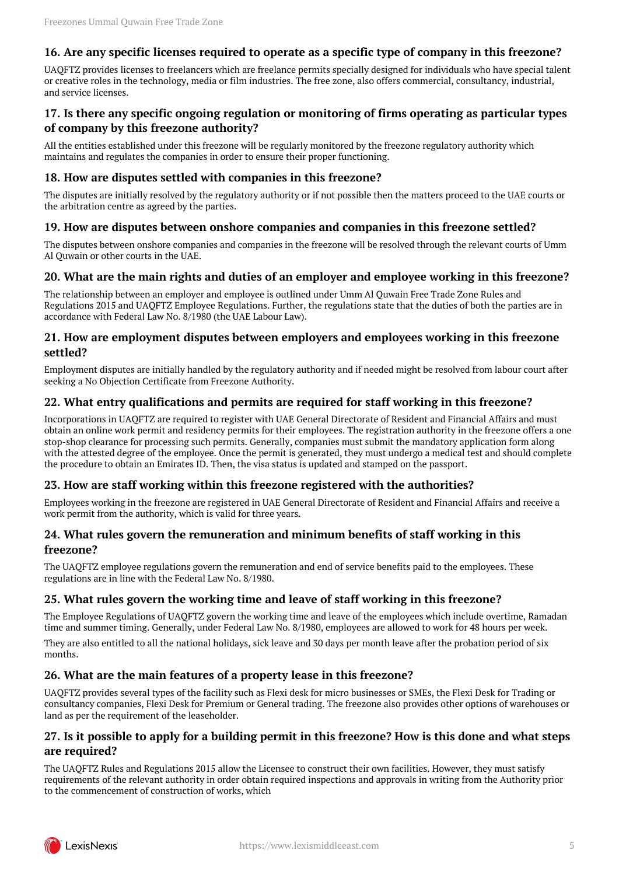#### <span id="page-4-0"></span>**16. Are any specific licenses required to operate as a specific type of company in this freezone?**

UAQFTZ provides licenses to freelancers which are freelance permits specially designed for individuals who have special talent or creative roles in the technology, media or film industries. The free zone, also offers commercial, consultancy, industrial, and service licenses.

#### <span id="page-4-1"></span>**17. Is there any specific ongoing regulation or monitoring of firms operating as particular types of company by this freezone authority?**

All the entities established under this freezone will be regularly monitored by the freezone regulatory authority which maintains and regulates the companies in order to ensure their proper functioning.

#### <span id="page-4-2"></span>**18. How are disputes settled with companies in this freezone?**

The disputes are initially resolved by the regulatory authority or if not possible then the matters proceed to the UAE courts or the arbitration centre as agreed by the parties.

#### <span id="page-4-3"></span>**19. How are disputes between onshore companies and companies in this freezone settled?**

The disputes between onshore companies and companies in the freezone will be resolved through the relevant courts of Umm Al Quwain or other courts in the UAE.

#### <span id="page-4-4"></span>**20. What are the main rights and duties of an employer and employee working in this freezone?**

The relationship between an employer and employee is outlined under Umm Al Quwain Free Trade Zone Rules and Regulations 2015 and UAQFTZ Employee Regulations. Further, the regulations state that the duties of both the parties are in accordance with Federal Law No. 8/1980 (the UAE Labour Law).

#### <span id="page-4-5"></span>**21. How are employment disputes between employers and employees working in this freezone settled?**

Employment disputes are initially handled by the regulatory authority and if needed might be resolved from labour court after seeking a No Objection Certificate from Freezone Authority.

#### <span id="page-4-6"></span>**22. What entry qualifications and permits are required for staff working in this freezone?**

Incorporations in UAQFTZ are required to register with UAE General Directorate of Resident and Financial Affairs and must obtain an online work permit and residency permits for their employees. The registration authority in the freezone offers a one stop-shop clearance for processing such permits. Generally, companies must submit the mandatory application form along with the attested degree of the employee. Once the permit is generated, they must undergo a medical test and should complete the procedure to obtain an Emirates ID. Then, the visa status is updated and stamped on the passport.

#### <span id="page-4-7"></span>**23. How are staff working within this freezone registered with the authorities?**

Employees working in the freezone are registered in UAE General Directorate of Resident and Financial Affairs and receive a work permit from the authority, which is valid for three years.

#### <span id="page-4-8"></span>**24. What rules govern the remuneration and minimum benefits of staff working in this freezone?**

The UAQFTZ employee regulations govern the remuneration and end of service benefits paid to the employees. These regulations are in line with the Federal Law No. 8/1980.

#### <span id="page-4-9"></span>**25. What rules govern the working time and leave of staff working in this freezone?**

The Employee Regulations of UAQFTZ govern the working time and leave of the employees which include overtime, Ramadan time and summer timing. Generally, under Federal Law No. 8/1980, employees are allowed to work for 48 hours per week.

They are also entitled to all the national holidays, sick leave and 30 days per month leave after the probation period of six months.

#### <span id="page-4-10"></span>**26. What are the main features of a property lease in this freezone?**

UAQFTZ provides several types of the facility such as Flexi desk for micro businesses or SMEs, the Flexi Desk for Trading or consultancy companies, Flexi Desk for Premium or General trading. The freezone also provides other options of warehouses or land as per the requirement of the leaseholder.

#### <span id="page-4-11"></span>**27. Is it possible to apply for a building permit in this freezone? How is this done and what steps are required?**

The UAQFTZ Rules and Regulations 2015 allow the Licensee to construct their own facilities. However, they must satisfy requirements of the relevant authority in order obtain required inspections and approvals in writing from the Authority prior to the commencement of construction of works, which

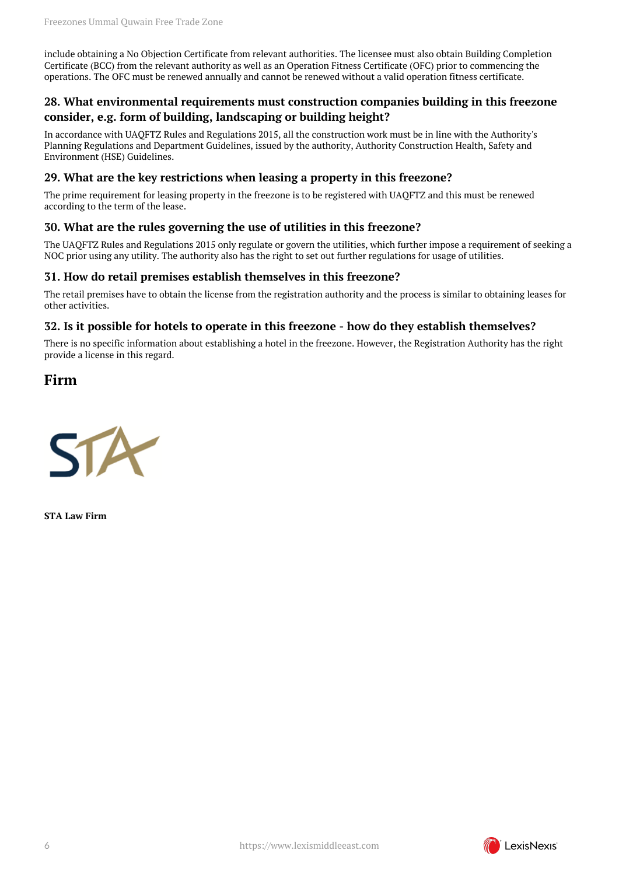include obtaining a No Objection Certificate from relevant authorities. The licensee must also obtain Building Completion Certificate (BCC) from the relevant authority as well as an Operation Fitness Certificate (OFC) prior to commencing the operations. The OFC must be renewed annually and cannot be renewed without a valid operation fitness certificate.

#### <span id="page-5-0"></span>**28. What environmental requirements must construction companies building in this freezone consider, e.g. form of building, landscaping or building height?**

In accordance with UAQFTZ Rules and Regulations 2015, all the construction work must be in line with the Authority's Planning Regulations and Department Guidelines, issued by the authority, Authority Construction Health, Safety and Environment (HSE) Guidelines.

#### <span id="page-5-1"></span>**29. What are the key restrictions when leasing a property in this freezone?**

The prime requirement for leasing property in the freezone is to be registered with UAQFTZ and this must be renewed according to the term of the lease.

#### <span id="page-5-2"></span>**30. What are the rules governing the use of utilities in this freezone?**

The UAQFTZ Rules and Regulations 2015 only regulate or govern the utilities, which further impose a requirement of seeking a NOC prior using any utility. The authority also has the right to set out further regulations for usage of utilities.

#### <span id="page-5-3"></span>**31. How do retail premises establish themselves in this freezone?**

The retail premises have to obtain the license from the registration authority and the process is similar to obtaining leases for other activities.

#### <span id="page-5-4"></span>**32. Is it possible for hotels to operate in this freezone - how do they establish themselves?**

There is no specific information about establishing a hotel in the freezone. However, the Registration Authority has the right provide a license in this regard.

#### <span id="page-5-5"></span>**Firm**



**STA Law Firm**